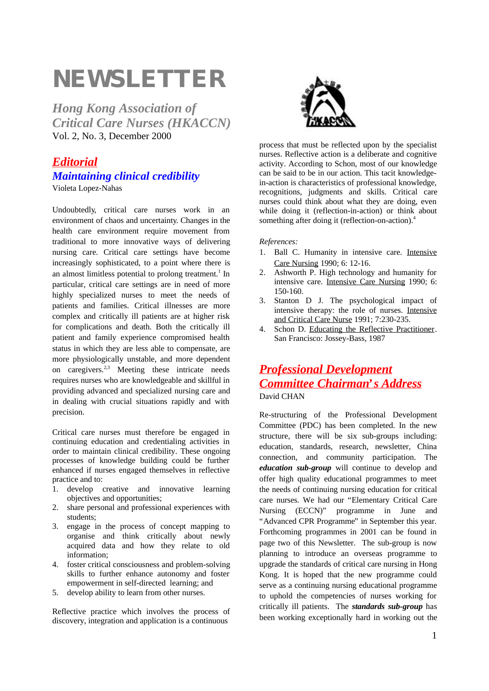# **NEWSLETTER**

*Hong Kong Association of Critical Care Nurses (HKACCN)* Vol. 2, No. 3, December 2000

## *Editorial Maintaining clinical credibility*

Violeta Lopez-Nahas

Undoubtedly, critical care nurses work in an environment of chaos and uncertainty. Changes in the health care environment require movement from traditional to more innovative ways of delivering nursing care. Critical care settings have become increasingly sophisticated, to a point where there is an almost limitless potential to prolong treatment.<sup>1</sup> In particular, critical care settings are in need of more highly specialized nurses to meet the needs of patients and families. Critical illnesses are more complex and critically ill patients are at higher risk for complications and death. Both the critically ill patient and family experience compromised health status in which they are less able to compensate, are more physiologically unstable, and more dependent on caregivers.2,3 Meeting these intricate needs requires nurses who are knowledgeable and skillful in providing advanced and specialized nursing care and in dealing with crucial situations rapidly and with precision.

Critical care nurses must therefore be engaged in continuing education and credentialing activities in order to maintain clinical credibility. These ongoing processes of knowledge building could be further enhanced if nurses engaged themselves in reflective practice and to:

- 1. develop creative and innovative learning objectives and opportunities;
- 2. share personal and professional experiences with students;
- 3. engage in the process of concept mapping to organise and think critically about newly acquired data and how they relate to old information;
- 4. foster critical consciousness and problem-solving skills to further enhance autonomy and foster empowerment in self-directed learning; and
- 5. develop ability to learn from other nurses.

Reflective practice which involves the process of discovery, integration and application is a continuous



process that must be reflected upon by the specialist nurses. Reflective action is a deliberate and cognitive activity. According to Schon, most of our knowledge can be said to be in our action. This tacit knowledgein-action is characteristics of professional knowledge, recognitions, judgments and skills. Critical care nurses could think about what they are doing, even while doing it (reflection-in-action) or think about something after doing it (reflection-on-action).<sup>4</sup>

#### *References:*

- 1. Ball C. Humanity in intensive care. Intensive Care Nursing 1990; 6: 12-16.
- 2. Ashworth P. High technology and humanity for intensive care. Intensive Care Nursing 1990; 6: 150-160.
- 3. Stanton D J. The psychological impact of intensive therapy: the role of nurses. Intensive and Critical Care Nurse 1991; 7:230-235.
- 4. Schon D. Educating the Reflective Practitioner. San Francisco: Jossey-Bass, 1987

## *Professional Development Committee Chairman's Address* David CHAN

Re-structuring of the Professional Development Committee (PDC) has been completed. In the new structure, there will be six sub-groups including: education, standards, research, newsletter, China connection, and community participation. The *education sub-group* will continue to develop and offer high quality educational programmes to meet the needs of continuing nursing education for critical care nurses. We had our "Elementary Critical Care Nursing (ECCN)" programme in June and "Advanced CPR Programme" in September this year. Forthcoming programmes in 2001 can be found in page two of this Newsletter. The sub-group is now planning to introduce an overseas programme to upgrade the standards of critical care nursing in Hong Kong. It is hoped that the new programme could serve as a continuing nursing educational programme to uphold the competencies of nurses working for critically ill patients. The *standards sub-group* has been working exceptionally hard in working out the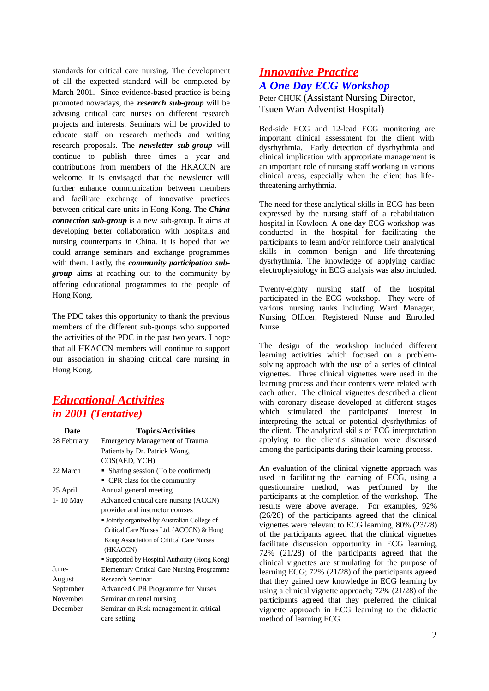standards for critical care nursing. The development of all the expected standard will be completed by March 2001. Since evidence-based practice is being promoted nowadays, the *research sub-group* will be advising critical care nurses on different research projects and interests. Seminars will be provided to educate staff on research methods and writing research proposals. The *newsletter sub-group* will continue to publish three times a year and contributions from members of the HKACCN are welcome. It is envisaged that the newsletter will further enhance communication between members and facilitate exchange of innovative practices between critical care units in Hong Kong. The *China connection sub-group* is a new sub-group. It aims at developing better collaboration with hospitals and nursing counterparts in China. It is hoped that we could arrange seminars and exchange programmes with them. Lastly, the *community participation subgroup* aims at reaching out to the community by offering educational programmes to the people of Hong Kong.

The PDC takes this opportunity to thank the previous members of the different sub-groups who supported the activities of the PDC in the past two years. I hope that all HKACCN members will continue to support our association in shaping critical care nursing in Hong Kong.

#### *Educational Activities in 2001 (Tentative)*

| Date         | <b>Topics/Activities</b>                          |
|--------------|---------------------------------------------------|
| 28 February  | <b>Emergency Management of Trauma</b>             |
|              | Patients by Dr. Patrick Wong,                     |
|              | COS(AED, YCH)                                     |
| 22 March     | • Sharing session (To be confirmed)               |
|              | • CPR class for the community                     |
| 25 April     | Annual general meeting                            |
| $1 - 10$ May | Advanced critical care nursing (ACCN)             |
|              | provider and instructor courses                   |
|              | · Jointly organized by Australian College of      |
|              | Critical Care Nurses Ltd. (ACCCN) & Hong          |
|              | Kong Association of Critical Care Nurses          |
|              | (HKACCN)                                          |
|              | • Supported by Hospital Authority (Hong Kong)     |
| June-        | <b>Elementary Critical Care Nursing Programme</b> |
| August       | Research Seminar                                  |
| September    | <b>Advanced CPR Programme for Nurses</b>          |
| November     | Seminar on renal nursing                          |
| December     | Seminar on Risk management in critical            |
|              | care setting                                      |

## *Innovative Practice A One Day ECG Workshop*

Peter CHUK (Assistant Nursing Director, Tsuen Wan Adventist Hospital)

Bed-side ECG and 12-lead ECG monitoring are important clinical assessment for the client with dysrhythmia. Early detection of dysrhythmia and clinical implication with appropriate management is an important role of nursing staff working in various clinical areas, especially when the client has lifethreatening arrhythmia.

The need for these analytical skills in ECG has been expressed by the nursing staff of a rehabilitation hospital in Kowloon. A one day ECG workshop was conducted in the hospital for facilitating the participants to learn and/or reinforce their analytical skills in common benign and life-threatening dysrhythmia. The knowledge of applying cardiac electrophysiology in ECG analysis was also included.

Twenty-eighty nursing staff of the hospital participated in the ECG workshop. They were of various nursing ranks including Ward Manager, Nursing Officer, Registered Nurse and Enrolled Nurse.

The design of the workshop included different learning activities which focused on a problemsolving approach with the use of a series of clinical vignettes. Three clinical vignettes were used in the learning process and their contents were related with each other. The clinical vignettes described a client with coronary disease developed at different stages which stimulated the participants' interest in interpreting the actual or potential dysrhythmias of the client. The analytical skills of ECG interpretation applying to the client's situation were discussed among the participants during their learning process.

An evaluation of the clinical vignette approach was used in facilitating the learning of ECG, using a questionnaire method, was performed by the participants at the completion of the workshop. The results were above average. For examples, 92% (26/28) of the participants agreed that the clinical vignettes were relevant to ECG learning, 80% (23/28) of the participants agreed that the clinical vignettes facilitate discussion opportunity in ECG learning, 72% (21/28) of the participants agreed that the clinical vignettes are stimulating for the purpose of learning ECG; 72% (21/28) of the participants agreed that they gained new knowledge in ECG learning by using a clinical vignette approach; 72% (21/28) of the participants agreed that they preferred the clinical vignette approach in ECG learning to the didactic method of learning ECG.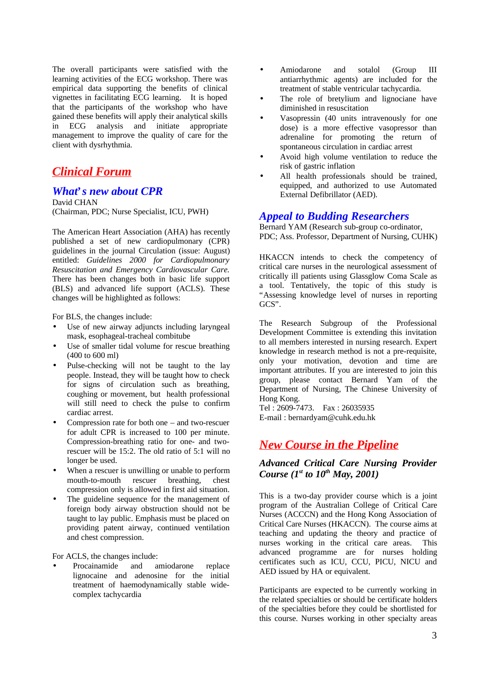The overall participants were satisfied with the learning activities of the ECG workshop. There was empirical data supporting the benefits of clinical vignettes in facilitating ECG learning. It is hoped that the participants of the workshop who have gained these benefits will apply their analytical skills in ECG analysis and initiate appropriate management to improve the quality of care for the client with dysrhythmia.

## *Clinical Forum*

#### *What's new about CPR*

David CHAN (Chairman, PDC; Nurse Specialist, ICU, PWH)

The American Heart Association (AHA) has recently published a set of new cardiopulmonary (CPR) guidelines in the journal Circulation (issue: August) entitled: *Guidelines 2000 for Cardiopulmonary Resuscitation and Emergency Cardiovascular Care.* There has been changes both in basic life support (BLS) and advanced life support (ACLS). These changes will be highlighted as follows:

For BLS, the changes include:

- Use of new airway adjuncts including laryngeal mask, esophageal-tracheal combitube
- Use of smaller tidal volume for rescue breathing (400 to 600 ml)
- Pulse-checking will not be taught to the lay people. Instead, they will be taught how to check for signs of circulation such as breathing, coughing or movement, but health professional will still need to check the pulse to confirm cardiac arrest.
- Compression rate for both one  $-$  and two-rescuer for adult CPR is increased to 100 per minute. Compression-breathing ratio for one- and tworescuer will be 15:2. The old ratio of 5:1 will no longer be used.
- When a rescuer is unwilling or unable to perform mouth-to-mouth rescuer breathing, chest compression only is allowed in first aid situation.
- The guideline sequence for the management of foreign body airway obstruction should not be taught to lay public. Emphasis must be placed on providing patent airway, continued ventilation and chest compression.

For ACLS, the changes include:

Procainamide and amiodarone replace lignocaine and adenosine for the initial treatment of haemodynamically stable widecomplex tachycardia

- Amiodarone and sotalol (Group III antiarrhythmic agents) are included for the treatment of stable ventricular tachycardia.
- The role of bretylium and lignociane have diminished in resuscitation
- Vasopressin (40 units intravenously for one dose) is a more effective vasopressor than adrenaline for promoting the return of spontaneous circulation in cardiac arrest
- Avoid high volume ventilation to reduce the risk of gastric inflation
- All health professionals should be trained, equipped, and authorized to use Automated External Defibrillator (AED).

#### *Appeal to Budding Researchers*

Bernard YAM (Research sub-group co-ordinator, PDC; Ass. Professor, Department of Nursing, CUHK)

HKACCN intends to check the competency of critical care nurses in the neurological assessment of critically ill patients using Glassglow Coma Scale as a tool. Tentatively, the topic of this study is "Assessing knowledge level of nurses in reporting GCS".

The Research Subgroup of the Professional Development Committee is extending this invitation to all members interested in nursing research. Expert knowledge in research method is not a pre-requisite, only your motivation, devotion and time are important attributes. If you are interested to join this group, please contact Bernard Yam of the Department of Nursing, The Chinese University of Hong Kong.

Tel : 2609-7473. Fax : 26035935 E-mail : bernardyam@cuhk.edu.hk

## *New Course in the Pipeline*

#### *Advanced Critical Care Nursing Provider Course (1st to 10th May, 2001)*

This is a two-day provider course which is a joint program of the Australian College of Critical Care Nurses (ACCCN) and the Hong Kong Association of Critical Care Nurses (HKACCN). The course aims at teaching and updating the theory and practice of nurses working in the critical care areas. This advanced programme are for nurses holding certificates such as ICU, CCU, PICU, NICU and AED issued by HA or equivalent.

Participants are expected to be currently working in the related specialties or should be certificate holders of the specialties before they could be shortlisted for this course. Nurses working in other specialty areas